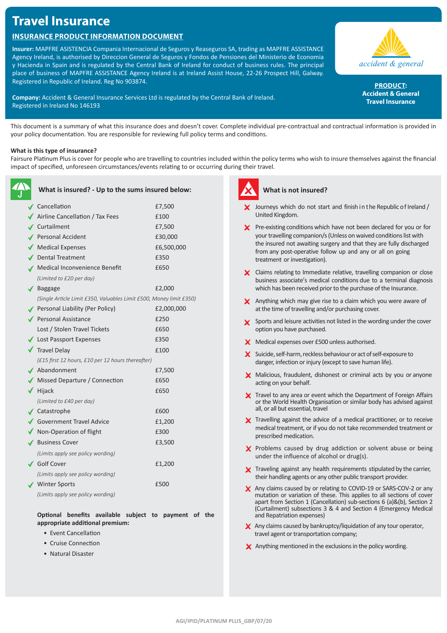# **Travel Insurance**

# **Insurance Product Information Document**

**Insurer:** MAPFRE ASISTENCIA Compania Internacional de Seguros y Reaseguros SA, trading as MAPFRE ASSISTANCE Agency Ireland, is authorised by Direccion General de Seguros y Fondos de Pensiones del Ministerio de Economia y Hacienda in Spain and is regulated by the Central Bank of Ireland for conduct of business rules. The principal place of business of MAPFRE ASSISTANCE Agency Ireland is at Ireland Assist House, 22-26 Prospect Hill, Galway. Registered in Republic of Ireland. Reg No 903874.

**Company:** Accident & General Insurance Services Ltd is regulated by the Central Bank of Ireland. Registered in Ireland No 146193

accident & general

**PRODUCT: Accident & General Travel Insurance**

This document is a summary of what this insurance does and doesn't cover. Complete individual pre-contractual and contractual information is provided in your policy documentation. You are responsible for reviewing full policy terms and conditions.

# **What is this type of insurance?**

Fairsure Platinum Plus is cover for people who are travelling to countries included within the policy terms who wish to insure themselves against the financial impact of specified, unforeseen circumstances/events relating to or occurring during their travel.

| What is insured? - Up to the sums insured below:                    |            |
|---------------------------------------------------------------------|------------|
| $\checkmark$ Cancellation                                           | £7,500     |
| Airline Cancellation / Tax Fees                                     | £100       |
| ✔ Curtailment                                                       | £7,500     |
| Personal Accident                                                   | £30,000    |
| $\blacklozenge$ Medical Expenses                                    | £6,500,000 |
| ✔ Dental Treatment                                                  | £350       |
| ✔ Medical Inconvenience Benefit                                     | £650       |
| (Limited to £20 per day)                                            |            |
| $\sqrt{\phantom{a}}$ Baggage                                        | £2,000     |
| (Single Article Limit £350, Valuables Limit £500, Money limit £350) |            |
| Personal Liability (Per Policy)                                     | £2,000,000 |
| Personal Assistance                                                 | £250       |
| Lost / Stolen Travel Tickets                                        | £650       |
| ◆ Lost Passport Expenses                                            | £350       |
| <b>▼</b> Travel Delay                                               | £100       |
| (£15 first 12 hours, £10 per 12 hours thereafter)                   |            |
| $\blacktriangle$ Abandonment                                        | £7,500     |
| Missed Departure / Connection                                       | £650       |
| $\blacktriangledown$ Hijack                                         | £650       |
| (Limited to £40 per day)                                            |            |
| ✔ Catastrophe                                                       | £600       |
| ◆ Government Travel Advice                                          | £1,200     |
| ◆ Non-Operation of flight                                           | £300       |
| ✔ Business Cover                                                    | £3,500     |
| (Limits apply see policy wording)                                   |            |
| ✔ Golf Cover                                                        | £1,200     |
| (Limits apply see policy wording)                                   |            |
| Winter Sports                                                       | £500       |
| (Limits apply see policy wording)                                   |            |

**Optional benefits available subject to payment of the appropriate additional premium:**

- Event Cancellation
- Cruise Connection
- Natural Disaster



# **What is not insured?**

- $\angle$  Journeys which do not start and finish in the Republic of Ireland / United Kingdom.
- $\boldsymbol{\times}$  Pre-existing conditions which have not been declared for you or for your travelling companion/s (Unless on waived conditions list with the insured not awaiting surgery and that they are fully discharged from any post-operative follow up and any or all on going treatment or investigation).
- X Claims relating to Immediate relative, travelling companion or close business associate's medical conditions due to a terminal diagnosis which has been received prior to the purchase of the Insurance.
- X Anything which may give rise to a claim which you were aware of at the time of travelling and/or purchasing cover.
- Sports and leisure activities not listed in the wording under the cover option you have purchased.
- **X** Medical expenses over £500 unless authorised.
- $\boldsymbol{\times}$  Suicide, self-harm, reckless behaviour or act of self-exposure to danger, infection or injury (except to save human life).
- X Malicious, fraudulent, dishonest or criminal acts by you or anyone acting on your behalf.
- X Travel to any area or event which the Department of Foreign Affairs or the World Health Organisation or similar body has advised against all, or all but essential, travel
- X Travelling against the advice of a medical practitioner, or to receive medical treatment, or if you do not take recommended treatment or prescribed medication.
- X Problems caused by drug addiction or solvent abuse or being under the influence of alcohol or drug(s).
- X Traveling against any health requirements stipulated by the carrier, their handling agents or any other public transport provider.
- X Any claims caused by or relating to COVID-19 or SARS-COV-2 or any mutation or variation of these. This applies to all sections of cover apart from Section 1 (Cancellation) sub-sections 6 (a)&(b), Section 2 (Curtailment) subsections 3 & 4 and Section 4 (Emergency Medical and Repatriation expenses)
- $\boldsymbol{\times}$  Any claims caused by bankruptcy/liquidation of any tour operator, travel agent or transportation company;
- $\times$  Anything mentioned in the exclusions in the policy wording.